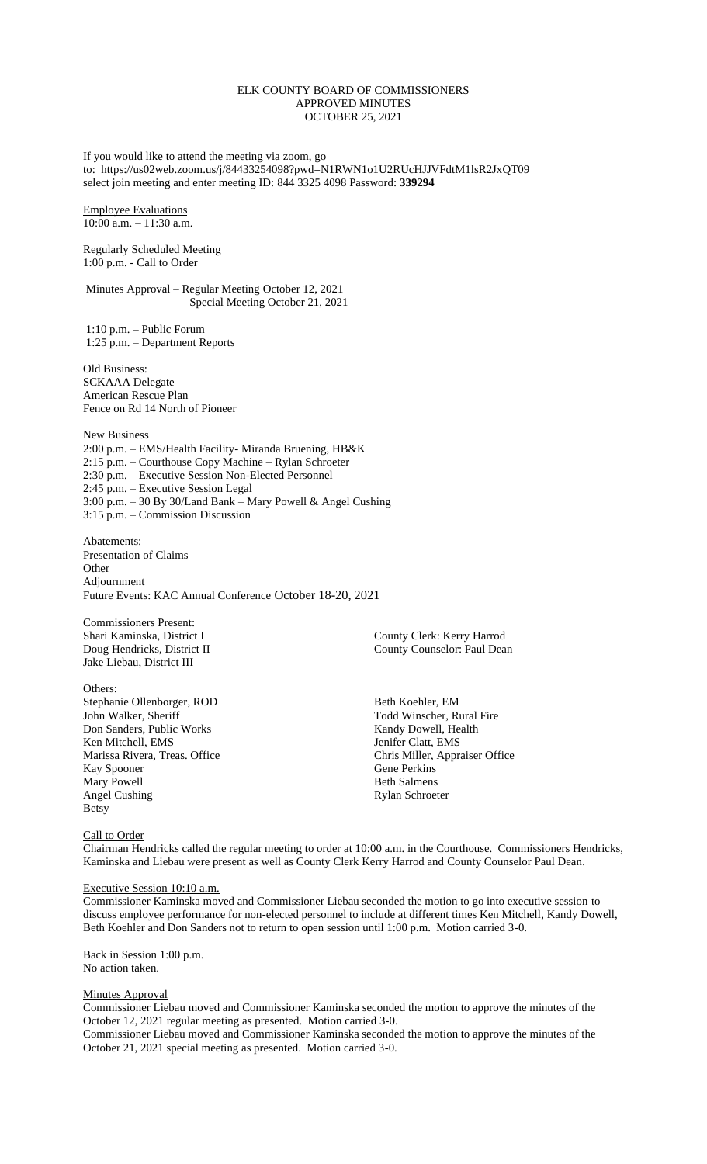## ELK COUNTY BOARD OF COMMISSIONERS APPROVED MINUTES OCTOBER 25, 2021

If you would like to attend the meeting via zoom, go to: <https://us02web.zoom.us/j/84433254098?pwd=N1RWN1o1U2RUcHJJVFdtM1lsR2JxQT09> select join meeting and enter meeting ID: 844 3325 4098 Password: **339294**

Employee Evaluations  $10:00$  a.m.  $-11:30$  a.m.

Regularly Scheduled Meeting 1:00 p.m. - Call to Order

Minutes Approval – Regular Meeting October 12, 2021 Special Meeting October 21, 2021

1:10 p.m. – Public Forum 1:25 p.m. – Department Reports

Old Business: SCKAAA Delegate American Rescue Plan Fence on Rd 14 North of Pioneer

New Business 2:00 p.m. – EMS/Health Facility- Miranda Bruening, HB&K 2:15 p.m. – Courthouse Copy Machine – Rylan Schroeter 2:30 p.m. – Executive Session Non-Elected Personnel 2:45 p.m. – Executive Session Legal 3:00 p.m. – 30 By 30/Land Bank – Mary Powell & Angel Cushing 3:15 p.m. – Commission Discussion

Abatements: Presentation of Claims **Other** Adjournment Future Events: KAC Annual Conference October 18-20, 2021

Commissioners Present: Jake Liebau, District III

Others: Stephanie Ollenborger, ROD Beth Koehler, EM Beth Koehler, EM Todd Winscher, Ru Don Sanders, Public Works Kandy Dowell, Health Ken Mitchell, EMS Jenifer Clatt, EMS Kay Spooner Gene Perkins Mary Powell **Beth Salmens** Angel Cushing Rylan Schroeter Betsy

Shari Kaminska, District I County Clerk: Kerry Harrod Doug Hendricks, District II County County County Counterpolarism County Counselor: Paul Dean

Todd Winscher, Rural Fire Marissa Rivera, Treas. Office Chris Miller, Appraiser Office

### Call to Order

Chairman Hendricks called the regular meeting to order at 10:00 a.m. in the Courthouse. Commissioners Hendricks, Kaminska and Liebau were present as well as County Clerk Kerry Harrod and County Counselor Paul Dean.

### Executive Session 10:10 a.m.

Commissioner Kaminska moved and Commissioner Liebau seconded the motion to go into executive session to discuss employee performance for non-elected personnel to include at different times Ken Mitchell, Kandy Dowell, Beth Koehler and Don Sanders not to return to open session until 1:00 p.m. Motion carried 3-0.

Back in Session 1:00 p.m. No action taken.

### **Minutes Approval**

Commissioner Liebau moved and Commissioner Kaminska seconded the motion to approve the minutes of the October 12, 2021 regular meeting as presented. Motion carried 3-0.

Commissioner Liebau moved and Commissioner Kaminska seconded the motion to approve the minutes of the October 21, 2021 special meeting as presented. Motion carried 3-0.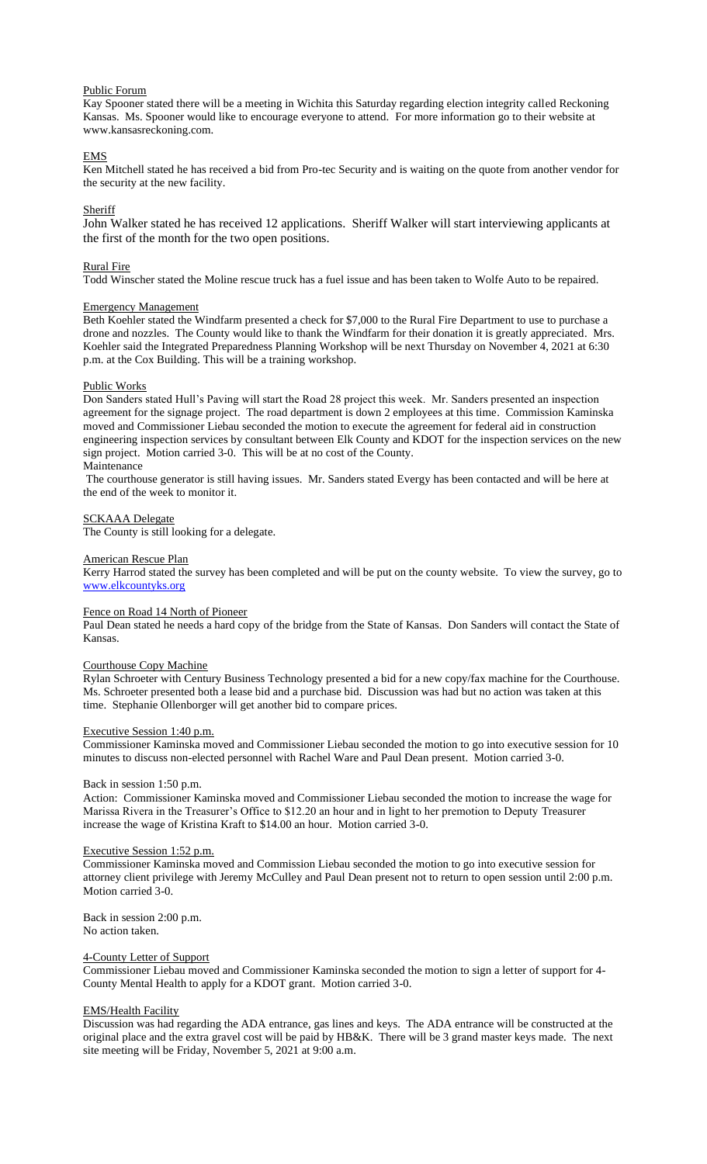### Public Forum

Kay Spooner stated there will be a meeting in Wichita this Saturday regarding election integrity called Reckoning Kansas. Ms. Spooner would like to encourage everyone to attend. For more information go to their website at www.kansasreckoning.com.

## EMS

Ken Mitchell stated he has received a bid from Pro-tec Security and is waiting on the quote from another vendor for the security at the new facility.

### Sheriff

John Walker stated he has received 12 applications. Sheriff Walker will start interviewing applicants at the first of the month for the two open positions.

### Rural Fire

Todd Winscher stated the Moline rescue truck has a fuel issue and has been taken to Wolfe Auto to be repaired.

### Emergency Management

Beth Koehler stated the Windfarm presented a check for \$7,000 to the Rural Fire Department to use to purchase a drone and nozzles. The County would like to thank the Windfarm for their donation it is greatly appreciated. Mrs. Koehler said the Integrated Preparedness Planning Workshop will be next Thursday on November 4, 2021 at 6:30 p.m. at the Cox Building. This will be a training workshop.

### Public Works

Don Sanders stated Hull's Paving will start the Road 28 project this week. Mr. Sanders presented an inspection agreement for the signage project. The road department is down 2 employees at this time. Commission Kaminska moved and Commissioner Liebau seconded the motion to execute the agreement for federal aid in construction engineering inspection services by consultant between Elk County and KDOT for the inspection services on the new sign project. Motion carried 3-0. This will be at no cost of the County. Maintenance

The courthouse generator is still having issues. Mr. Sanders stated Evergy has been contacted and will be here at the end of the week to monitor it.

### SCKAAA Delegate

The County is still looking for a delegate.

#### American Rescue Plan

Kerry Harrod stated the survey has been completed and will be put on the county website. To view the survey, go to [www.elkcountyks.org](http://www.elkcountyks.org/) 

### Fence on Road 14 North of Pioneer

Paul Dean stated he needs a hard copy of the bridge from the State of Kansas. Don Sanders will contact the State of Kansas.

### Courthouse Copy Machine

Rylan Schroeter with Century Business Technology presented a bid for a new copy/fax machine for the Courthouse. Ms. Schroeter presented both a lease bid and a purchase bid. Discussion was had but no action was taken at this time. Stephanie Ollenborger will get another bid to compare prices.

### Executive Session 1:40 p.m.

Commissioner Kaminska moved and Commissioner Liebau seconded the motion to go into executive session for 10 minutes to discuss non-elected personnel with Rachel Ware and Paul Dean present. Motion carried 3-0.

### Back in session 1:50 p.m.

Action: Commissioner Kaminska moved and Commissioner Liebau seconded the motion to increase the wage for Marissa Rivera in the Treasurer's Office to \$12.20 an hour and in light to her premotion to Deputy Treasurer increase the wage of Kristina Kraft to \$14.00 an hour. Motion carried 3-0.

### Executive Session 1:52 p.m.

Commissioner Kaminska moved and Commission Liebau seconded the motion to go into executive session for attorney client privilege with Jeremy McCulley and Paul Dean present not to return to open session until 2:00 p.m. Motion carried 3-0.

Back in session 2:00 p.m. No action taken.

### 4-County Letter of Support

Commissioner Liebau moved and Commissioner Kaminska seconded the motion to sign a letter of support for 4- County Mental Health to apply for a KDOT grant. Motion carried 3-0.

### EMS/Health Facility

Discussion was had regarding the ADA entrance, gas lines and keys. The ADA entrance will be constructed at the original place and the extra gravel cost will be paid by HB&K. There will be 3 grand master keys made. The next site meeting will be Friday, November 5, 2021 at 9:00 a.m.